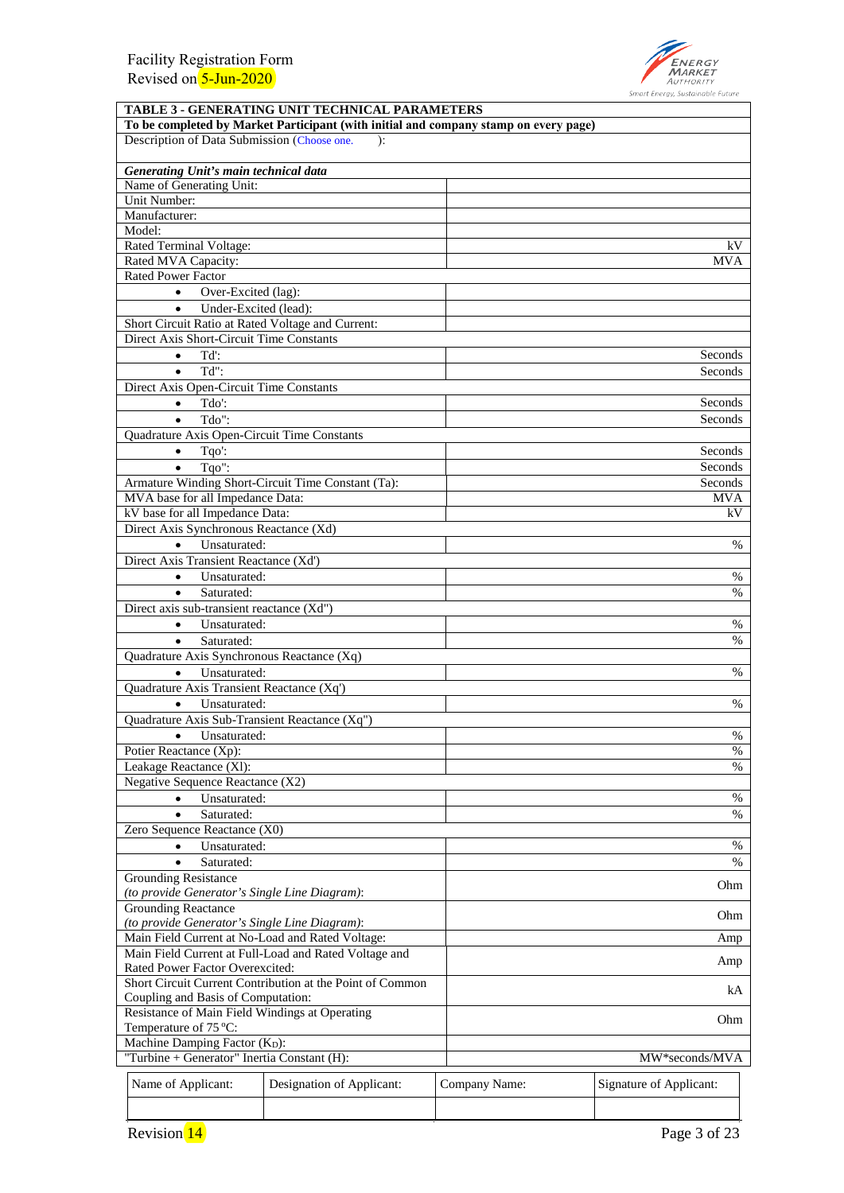

|                                                                                      |                                                                                                                                                     | <b>TABLE 3 - GENERATING UNIT TECHNICAL PARAMETERS</b> |               |                         |  |
|--------------------------------------------------------------------------------------|-----------------------------------------------------------------------------------------------------------------------------------------------------|-------------------------------------------------------|---------------|-------------------------|--|
|                                                                                      | To be completed by Market Participant (with initial and company stamp on every page)<br>Description of Data Submission (Choose one.<br>$\mathbf{r}$ |                                                       |               |                         |  |
|                                                                                      |                                                                                                                                                     |                                                       |               |                         |  |
|                                                                                      | Generating Unit's main technical data<br>Name of Generating Unit:                                                                                   |                                                       |               |                         |  |
|                                                                                      | Unit Number:                                                                                                                                        |                                                       |               |                         |  |
|                                                                                      | Manufacturer:                                                                                                                                       |                                                       |               |                         |  |
|                                                                                      | Model:                                                                                                                                              |                                                       |               |                         |  |
|                                                                                      | Rated Terminal Voltage:                                                                                                                             |                                                       |               | kV                      |  |
|                                                                                      | Rated MVA Capacity:                                                                                                                                 |                                                       |               | MVA                     |  |
|                                                                                      | Rated Power Factor                                                                                                                                  |                                                       |               |                         |  |
|                                                                                      | Over-Excited (lag):<br>$\bullet$                                                                                                                    |                                                       |               |                         |  |
|                                                                                      | $\bullet$<br>Under-Excited (lead):                                                                                                                  |                                                       |               |                         |  |
|                                                                                      | Short Circuit Ratio at Rated Voltage and Current:                                                                                                   |                                                       |               |                         |  |
|                                                                                      | Direct Axis Short-Circuit Time Constants                                                                                                            |                                                       |               |                         |  |
|                                                                                      | Td':<br>$\bullet$<br>Td":                                                                                                                           |                                                       |               | Seconds<br>Seconds      |  |
|                                                                                      | $\bullet$<br>Direct Axis Open-Circuit Time Constants                                                                                                |                                                       |               |                         |  |
|                                                                                      | Tdo':<br>$\bullet$                                                                                                                                  |                                                       |               | Seconds                 |  |
|                                                                                      | Tdo":<br>$\bullet$                                                                                                                                  |                                                       |               | Seconds                 |  |
|                                                                                      | Quadrature Axis Open-Circuit Time Constants                                                                                                         |                                                       |               |                         |  |
|                                                                                      | Tqo':<br>$\bullet$                                                                                                                                  |                                                       |               | Seconds                 |  |
|                                                                                      | Tgo":<br>$\bullet$                                                                                                                                  |                                                       |               | Seconds                 |  |
|                                                                                      |                                                                                                                                                     | Armature Winding Short-Circuit Time Constant (Ta):    |               | Seconds                 |  |
|                                                                                      | MVA base for all Impedance Data:                                                                                                                    |                                                       |               | <b>MVA</b>              |  |
|                                                                                      | kV base for all Impedance Data:                                                                                                                     |                                                       |               | kV                      |  |
|                                                                                      | Direct Axis Synchronous Reactance (Xd)                                                                                                              |                                                       |               |                         |  |
|                                                                                      | Unsaturated:<br>$\bullet$                                                                                                                           |                                                       |               | $\%$                    |  |
|                                                                                      | Direct Axis Transient Reactance (Xd')                                                                                                               |                                                       |               |                         |  |
| Unsaturated:<br>$\bullet$                                                            |                                                                                                                                                     |                                                       |               | %                       |  |
| Saturated:<br>$\bullet$                                                              |                                                                                                                                                     |                                                       |               | %                       |  |
| Direct axis sub-transient reactance (Xd")                                            |                                                                                                                                                     |                                                       |               |                         |  |
| Unsaturated:<br>$\bullet$                                                            |                                                                                                                                                     |                                                       |               | %                       |  |
| Saturated:<br>$\bullet$                                                              |                                                                                                                                                     |                                                       |               | $\%$                    |  |
| Quadrature Axis Synchronous Reactance (Xq)<br>Unsaturated:<br>$\bullet$              |                                                                                                                                                     |                                                       |               | %                       |  |
|                                                                                      | Quadrature Axis Transient Reactance (Xq')                                                                                                           |                                                       |               |                         |  |
|                                                                                      | Unsaturated:<br>$\bullet$                                                                                                                           |                                                       |               | %                       |  |
|                                                                                      | Quadrature Axis Sub-Transient Reactance (Xq")                                                                                                       |                                                       |               |                         |  |
|                                                                                      | ٠<br>Unsaturated:                                                                                                                                   |                                                       |               | %                       |  |
|                                                                                      | Potier Reactance (Xp):                                                                                                                              |                                                       |               | $\%$                    |  |
|                                                                                      | Leakage Reactance (XI):                                                                                                                             |                                                       |               | $\%$                    |  |
|                                                                                      | Negative Sequence Reactance (X2)                                                                                                                    |                                                       |               |                         |  |
|                                                                                      | Unsaturated:<br>$\bullet$                                                                                                                           |                                                       |               | %                       |  |
|                                                                                      | Saturated:<br>$\bullet$                                                                                                                             |                                                       |               | $\%$                    |  |
|                                                                                      | Zero Sequence Reactance (X0)                                                                                                                        |                                                       |               |                         |  |
|                                                                                      | Unsaturated:<br>$\bullet$                                                                                                                           |                                                       |               | $\%$                    |  |
|                                                                                      | Saturated:<br>$\bullet$                                                                                                                             |                                                       | $\%$          |                         |  |
|                                                                                      | <b>Grounding Resistance</b>                                                                                                                         |                                                       |               | Ohm                     |  |
|                                                                                      | (to provide Generator's Single Line Diagram):<br><b>Grounding Reactance</b>                                                                         |                                                       |               |                         |  |
| (to provide Generator's Single Line Diagram):                                        |                                                                                                                                                     |                                                       |               | Ohm                     |  |
| Main Field Current at No-Load and Rated Voltage:                                     |                                                                                                                                                     |                                                       | Amp           |                         |  |
| Main Field Current at Full-Load and Rated Voltage and                                |                                                                                                                                                     |                                                       |               |                         |  |
| Rated Power Factor Overexcited:                                                      |                                                                                                                                                     |                                                       |               | Amp                     |  |
| Short Circuit Current Contribution at the Point of Common                            |                                                                                                                                                     |                                                       |               | kA.                     |  |
| Coupling and Basis of Computation:<br>Resistance of Main Field Windings at Operating |                                                                                                                                                     |                                                       |               |                         |  |
| Temperature of 75 °C:                                                                |                                                                                                                                                     |                                                       |               | Ohm                     |  |
| Machine Damping Factor (KD):                                                         |                                                                                                                                                     |                                                       |               |                         |  |
|                                                                                      | "Turbine + Generator" Inertia Constant (H):                                                                                                         |                                                       |               | MW*seconds/MVA          |  |
|                                                                                      |                                                                                                                                                     |                                                       |               |                         |  |
|                                                                                      | Name of Applicant:                                                                                                                                  | Designation of Applicant:                             | Company Name: | Signature of Applicant: |  |
|                                                                                      |                                                                                                                                                     |                                                       |               |                         |  |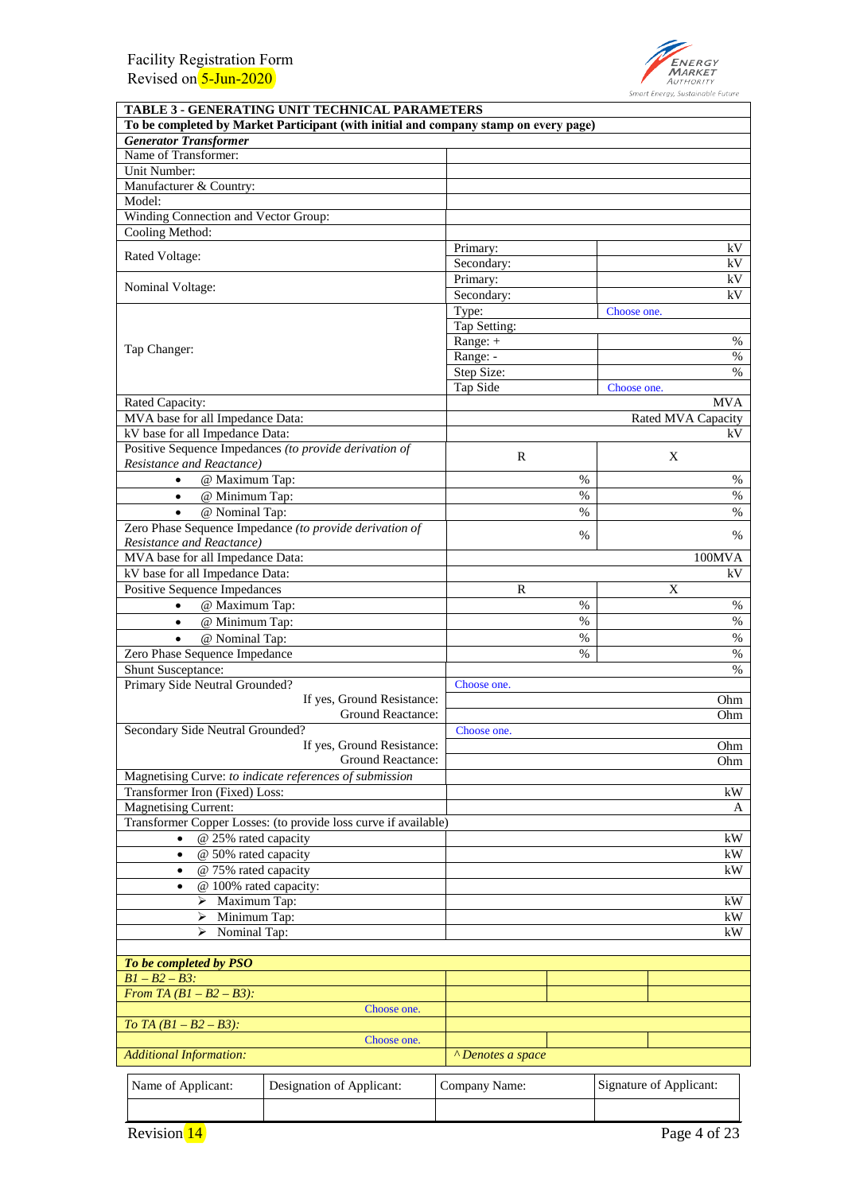

| TABLE 3 - GENERATING UNIT TECHNICAL PARAMETERS                                       |                                                 |                        |      |             |                         |
|--------------------------------------------------------------------------------------|-------------------------------------------------|------------------------|------|-------------|-------------------------|
| To be completed by Market Participant (with initial and company stamp on every page) |                                                 |                        |      |             |                         |
| <b>Generator Transformer</b>                                                         |                                                 |                        |      |             |                         |
| Name of Transformer:                                                                 |                                                 |                        |      |             |                         |
| Unit Number:                                                                         |                                                 |                        |      |             |                         |
| Manufacturer & Country:                                                              |                                                 |                        |      |             |                         |
| Model:                                                                               |                                                 |                        |      |             |                         |
| Winding Connection and Vector Group:<br>Cooling Method:                              |                                                 |                        |      |             |                         |
|                                                                                      |                                                 |                        |      |             | kV                      |
| Rated Voltage:                                                                       |                                                 | Primary:<br>Secondary: |      |             | kV                      |
|                                                                                      |                                                 | Primary:               |      |             | kV                      |
| Nominal Voltage:                                                                     |                                                 | Secondary:             |      |             | kV                      |
|                                                                                      |                                                 | Type:                  |      | Choose one. |                         |
|                                                                                      |                                                 | Tap Setting:           |      |             |                         |
|                                                                                      |                                                 | Range: +               |      |             | %                       |
| Tap Changer:                                                                         |                                                 | Range: -               |      |             | $\%$                    |
|                                                                                      |                                                 | Step Size:             |      |             | $\%$                    |
|                                                                                      |                                                 | Tap Side               |      | Choose one. |                         |
| Rated Capacity:                                                                      |                                                 |                        |      |             | <b>MVA</b>              |
| MVA base for all Impedance Data:                                                     |                                                 |                        |      |             | Rated MVA Capacity      |
| kV base for all Impedance Data:                                                      |                                                 |                        |      |             | kV                      |
| Positive Sequence Impedances (to provide derivation of                               |                                                 |                        |      |             |                         |
| Resistance and Reactance)                                                            |                                                 | $\mathbb{R}$           |      |             | X                       |
| @ Maximum Tap:<br>$\bullet$                                                          |                                                 |                        | $\%$ |             | $\%$                    |
| @ Minimum Tap:<br>$\bullet$                                                          |                                                 |                        | $\%$ |             | %                       |
| @ Nominal Tap:<br>$\bullet$                                                          |                                                 |                        | $\%$ |             | $\%$                    |
| Zero Phase Sequence Impedance (to provide derivation of                              |                                                 |                        |      |             |                         |
| Resistance and Reactance)                                                            |                                                 |                        | $\%$ |             | $\%$                    |
| MVA base for all Impedance Data:                                                     |                                                 |                        |      |             | 100MVA                  |
| kV base for all Impedance Data:                                                      |                                                 |                        |      |             | kV                      |
| Positive Sequence Impedances                                                         |                                                 | R                      |      |             | X                       |
| @ Maximum Tap:<br>$\bullet$                                                          |                                                 |                        | $\%$ |             | %                       |
| @ Minimum Tap:<br>$\bullet$                                                          |                                                 | $\%$                   |      | $\%$        |                         |
| @ Nominal Tap:                                                                       |                                                 |                        | $\%$ |             | $\%$                    |
| Zero Phase Sequence Impedance                                                        |                                                 |                        | $\%$ |             | $\%$                    |
| Shunt Susceptance:                                                                   |                                                 |                        |      |             | $\%$                    |
| Primary Side Neutral Grounded?                                                       |                                                 | Choose one.            |      |             |                         |
|                                                                                      | If yes, Ground Resistance:                      |                        |      |             | Ohm                     |
|                                                                                      | Ground Reactance:                               |                        |      |             | Ohm                     |
| Secondary Side Neutral Grounded?                                                     |                                                 | Choose one.            |      |             |                         |
|                                                                                      | If yes, Ground Resistance:<br>Ground Reactance: |                        |      |             | Ohm                     |
|                                                                                      |                                                 |                        |      | Ohm         |                         |
| Magnetising Curve: to indicate references of submission                              |                                                 |                        |      |             |                         |
| Transformer Iron (Fixed) Loss:                                                       |                                                 |                        |      |             | kW                      |
| <b>Magnetising Current:</b>                                                          |                                                 |                        |      |             | A                       |
| Transformer Copper Losses: (to provide loss curve if available)                      |                                                 |                        |      |             |                         |
| @ 25% rated capacity                                                                 |                                                 |                        |      |             | kW                      |
| @ 50% rated capacity<br>$\bullet$                                                    |                                                 |                        |      |             | kW                      |
| @ 75% rated capacity<br>$\bullet$                                                    |                                                 |                        |      |             | kW                      |
| @ 100% rated capacity:<br>٠                                                          |                                                 |                        |      |             |                         |
| Maximum Tap:<br>➤<br>⋗                                                               |                                                 |                        |      | kW<br>kW    |                         |
| Minimum Tap:                                                                         |                                                 |                        |      |             |                         |
| Nominal Tap:<br>kW<br>⋗                                                              |                                                 |                        |      |             |                         |
|                                                                                      |                                                 |                        |      |             |                         |
| To be completed by PSO<br>$B1 - B2 - B3$ :                                           |                                                 |                        |      |             |                         |
| From TA $(BI - B2 - B3)$ :                                                           |                                                 |                        |      |             |                         |
|                                                                                      | Choose one.                                     |                        |      |             |                         |
| To TA $(BI - B2 - B3)$ :                                                             |                                                 |                        |      |             |                         |
| Choose one.                                                                          |                                                 |                        |      |             |                         |
| <b>Additional Information:</b>                                                       | <sup>^</sup> Denotes a space                    |                        |      |             |                         |
|                                                                                      |                                                 |                        |      |             |                         |
| Name of Applicant:<br>Designation of Applicant:                                      |                                                 | Company Name:          |      |             | Signature of Applicant: |
|                                                                                      |                                                 |                        |      |             |                         |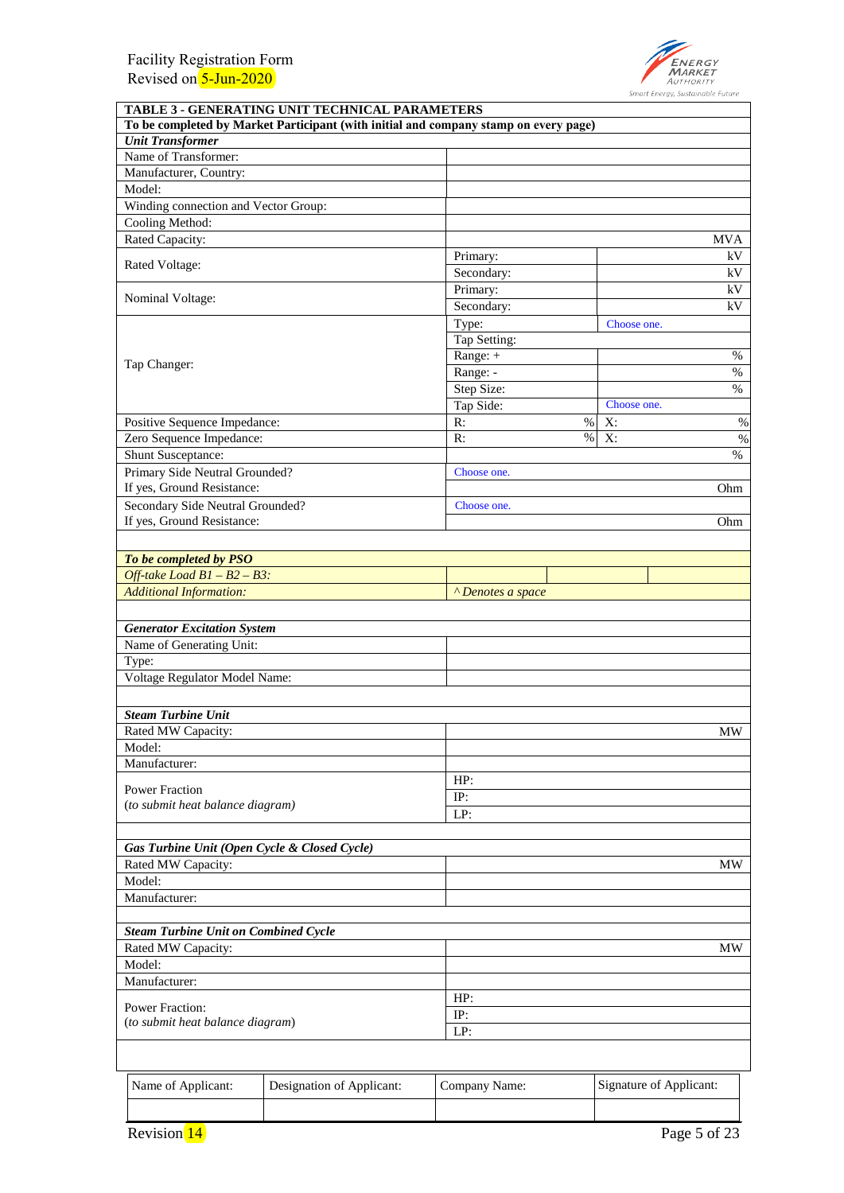

| TABLE 3 - GENERATING UNIT TECHNICAL PARAMETERS                                       |                              |      |             |            |  |
|--------------------------------------------------------------------------------------|------------------------------|------|-------------|------------|--|
| To be completed by Market Participant (with initial and company stamp on every page) |                              |      |             |            |  |
| <b>Unit Transformer</b>                                                              |                              |      |             |            |  |
| Name of Transformer:                                                                 |                              |      |             |            |  |
| Manufacturer, Country:                                                               |                              |      |             |            |  |
| Model:                                                                               |                              |      |             |            |  |
| Winding connection and Vector Group:                                                 |                              |      |             |            |  |
| Cooling Method:                                                                      |                              |      |             |            |  |
| Rated Capacity:                                                                      |                              |      |             | <b>MVA</b> |  |
| Rated Voltage:                                                                       | Primary:                     |      |             | kV         |  |
|                                                                                      | Secondary:                   |      |             | kV         |  |
| Nominal Voltage:                                                                     | Primary:                     |      |             | kV         |  |
|                                                                                      | Secondary:                   |      |             | kV         |  |
|                                                                                      | Type:                        |      | Choose one. |            |  |
|                                                                                      | Tap Setting:                 |      |             |            |  |
| Tap Changer:                                                                         | Range: +                     |      |             | %          |  |
|                                                                                      | Range: -                     |      |             | $\%$       |  |
|                                                                                      | Step Size:                   |      |             | $\%$       |  |
|                                                                                      | Tap Side:                    |      | Choose one. |            |  |
| Positive Sequence Impedance:                                                         | R:                           | $\%$ | X:          | $\%$       |  |
| Zero Sequence Impedance:                                                             | R:                           | $\%$ | X:          | $\%$       |  |
| Shunt Susceptance:                                                                   |                              |      |             | $\%$       |  |
| Primary Side Neutral Grounded?                                                       | Choose one.                  |      |             |            |  |
| If yes, Ground Resistance:                                                           |                              |      |             | Ohm        |  |
| Secondary Side Neutral Grounded?                                                     | Choose one.                  |      |             |            |  |
| If yes, Ground Resistance:                                                           |                              |      |             | Ohm        |  |
|                                                                                      |                              |      |             |            |  |
| To be completed by PSO                                                               |                              |      |             |            |  |
| Off-take Load $BI - B2 - B3$ :                                                       |                              |      |             |            |  |
| <b>Additional Information:</b>                                                       | <sup>^</sup> Denotes a space |      |             |            |  |
|                                                                                      |                              |      |             |            |  |
| <b>Generator Excitation System</b>                                                   |                              |      |             |            |  |
| Name of Generating Unit:                                                             |                              |      |             |            |  |
| Type:                                                                                |                              |      |             |            |  |
| Voltage Regulator Model Name:                                                        |                              |      |             |            |  |
|                                                                                      |                              |      |             |            |  |
| <b>Steam Turbine Unit</b>                                                            |                              |      |             |            |  |
| Rated MW Capacity:                                                                   |                              |      |             | MW         |  |
| Model:                                                                               |                              |      |             |            |  |
| Manufacturer:                                                                        |                              |      |             |            |  |
|                                                                                      | HP:                          |      |             |            |  |
| <b>Power Fraction</b>                                                                | IP:                          |      |             |            |  |
| (to submit heat balance diagram)                                                     | LP:                          |      |             |            |  |
|                                                                                      |                              |      |             |            |  |
| Gas Turbine Unit (Open Cycle & Closed Cycle)                                         |                              |      |             |            |  |
| Rated MW Capacity:                                                                   |                              |      |             | MW         |  |
| Model:                                                                               |                              |      |             |            |  |
| Manufacturer:                                                                        |                              |      |             |            |  |
|                                                                                      |                              |      |             |            |  |
| <b>Steam Turbine Unit on Combined Cycle</b>                                          |                              |      |             |            |  |
| Rated MW Capacity:                                                                   |                              |      |             | MW         |  |
| Model:                                                                               |                              |      |             |            |  |
| Manufacturer:                                                                        |                              |      |             |            |  |
|                                                                                      | HP:                          |      |             |            |  |
| <b>Power Fraction:</b>                                                               | IP:                          |      |             |            |  |
| (to submit heat balance diagram)                                                     | LP:                          |      |             |            |  |
|                                                                                      |                              |      |             |            |  |
|                                                                                      |                              |      |             |            |  |
|                                                                                      |                              |      |             |            |  |

| Name of Applicant: | Designation of Applicant: | Company Name: | Signature of Applicant: |  |
|--------------------|---------------------------|---------------|-------------------------|--|
|                    |                           |               |                         |  |
| <b>Revision</b> 14 |                           |               | Page 5 of 23            |  |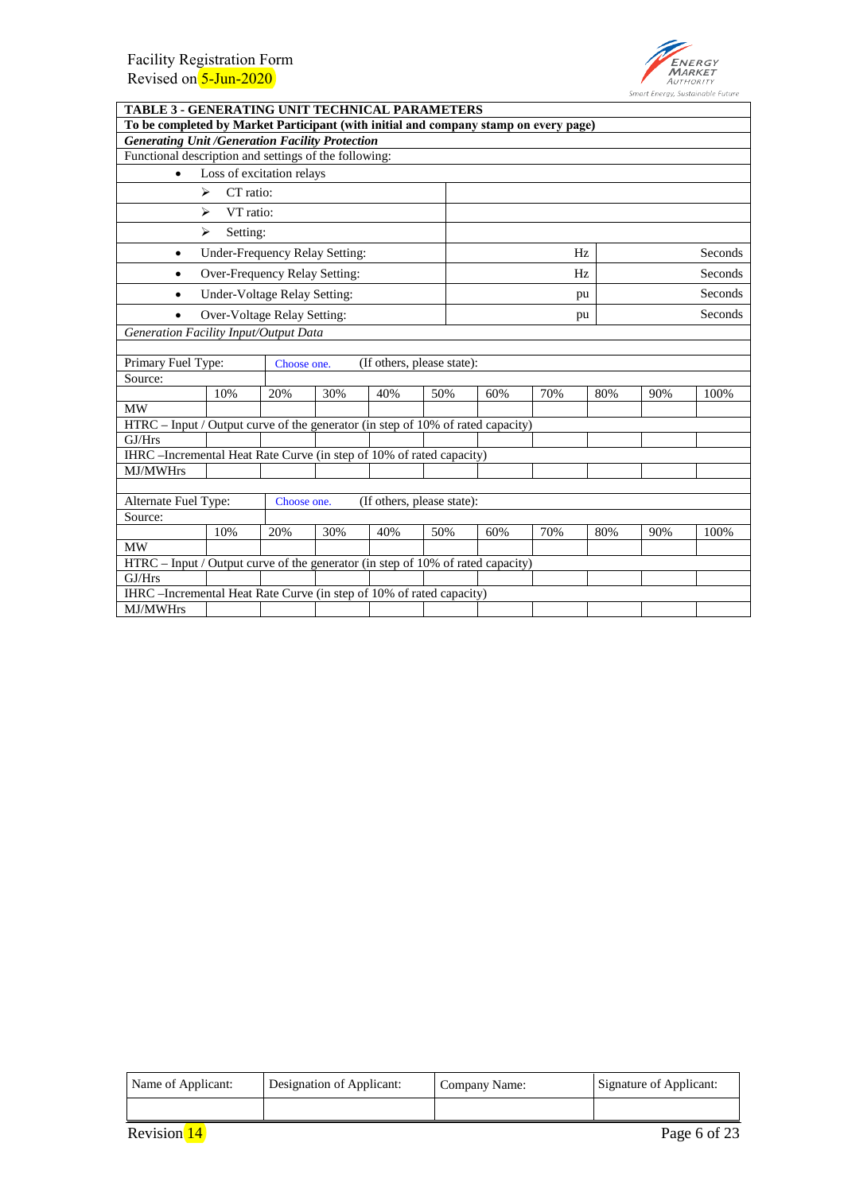

| <b>TABLE 3 - GENERATING UNIT TECHNICAL PARAMETERS</b>                                |                                                                      |             |     |                            |     |     |     |     |     |         |
|--------------------------------------------------------------------------------------|----------------------------------------------------------------------|-------------|-----|----------------------------|-----|-----|-----|-----|-----|---------|
| To be completed by Market Participant (with initial and company stamp on every page) |                                                                      |             |     |                            |     |     |     |     |     |         |
| <b>Generating Unit /Generation Facility Protection</b>                               |                                                                      |             |     |                            |     |     |     |     |     |         |
| Functional description and settings of the following:                                |                                                                      |             |     |                            |     |     |     |     |     |         |
| $\bullet$                                                                            | Loss of excitation relays                                            |             |     |                            |     |     |     |     |     |         |
|                                                                                      | CT ratio:<br>$\blacktriangleright$                                   |             |     |                            |     |     |     |     |     |         |
|                                                                                      | ⋗<br>VT ratio:                                                       |             |     |                            |     |     |     |     |     |         |
|                                                                                      | ⋗<br>Setting:                                                        |             |     |                            |     |     |     |     |     |         |
| $\bullet$                                                                            | Under-Frequency Relay Setting:                                       |             |     |                            |     |     | Hz  |     |     | Seconds |
| $\bullet$                                                                            | Over-Frequency Relay Setting:                                        |             |     |                            |     |     | Hz  |     |     | Seconds |
| $\bullet$                                                                            | Under-Voltage Relay Setting:                                         |             |     |                            |     |     | pu  |     |     | Seconds |
| $\bullet$                                                                            | Over-Voltage Relay Setting:                                          |             |     |                            |     |     | pu  |     |     | Seconds |
| Generation Facility Input/Output Data                                                |                                                                      |             |     |                            |     |     |     |     |     |         |
|                                                                                      |                                                                      |             |     |                            |     |     |     |     |     |         |
| Primary Fuel Type:                                                                   |                                                                      | Choose one. |     | (If others, please state): |     |     |     |     |     |         |
| Source:                                                                              |                                                                      |             |     |                            |     |     |     |     |     |         |
|                                                                                      | 10%                                                                  | 20%         | 30% | 40%                        | 50% | 60% | 70% | 80% | 90% | 100%    |
| <b>MW</b>                                                                            |                                                                      |             |     |                            |     |     |     |     |     |         |
| HTRC - Input / Output curve of the generator (in step of 10% of rated capacity)      |                                                                      |             |     |                            |     |     |     |     |     |         |
| GJ/Hrs                                                                               |                                                                      |             |     |                            |     |     |     |     |     |         |
| IHRC –Incremental Heat Rate Curve (in step of 10% of rated capacity)                 |                                                                      |             |     |                            |     |     |     |     |     |         |
| MJ/MWHrs                                                                             |                                                                      |             |     |                            |     |     |     |     |     |         |
|                                                                                      |                                                                      |             |     |                            |     |     |     |     |     |         |
| Alternate Fuel Type:                                                                 |                                                                      | Choose one. |     | (If others, please state): |     |     |     |     |     |         |
| Source:                                                                              |                                                                      |             |     |                            |     |     |     |     |     |         |
|                                                                                      | 10%                                                                  | 20%         | 30% | 40%                        | 50% | 60% | 70% | 80% | 90% | 100%    |
| <b>MW</b>                                                                            |                                                                      |             |     |                            |     |     |     |     |     |         |
| HTRC - Input / Output curve of the generator (in step of 10% of rated capacity)      |                                                                      |             |     |                            |     |     |     |     |     |         |
| GJ/Hrs                                                                               |                                                                      |             |     |                            |     |     |     |     |     |         |
|                                                                                      | IHRC –Incremental Heat Rate Curve (in step of 10% of rated capacity) |             |     |                            |     |     |     |     |     |         |
| <b>MJ/MWHrs</b>                                                                      |                                                                      |             |     |                            |     |     |     |     |     |         |

| Name of Applicant: | Designation of Applicant: | Company Name: | Signature of Applicant: |  |
|--------------------|---------------------------|---------------|-------------------------|--|
|                    |                           |               |                         |  |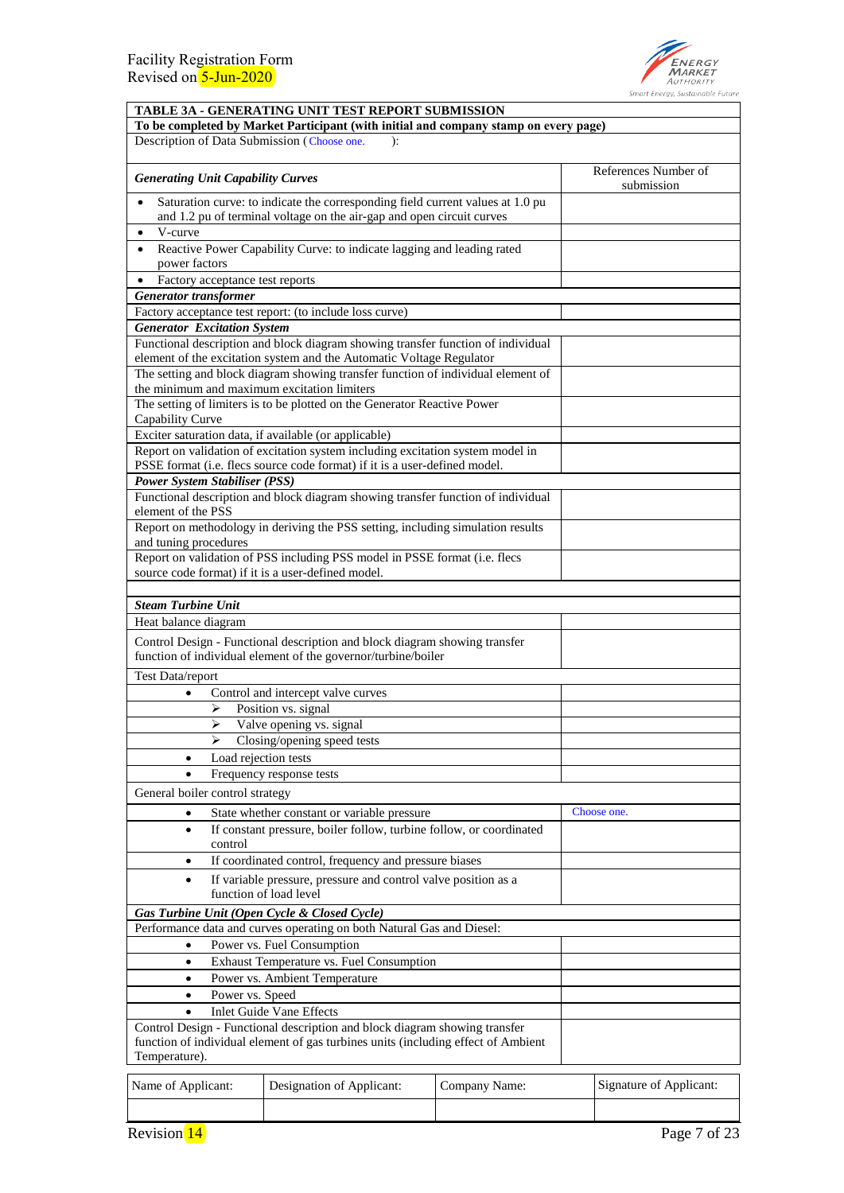

|                                              | TABLE 3A - GENERATING UNIT TEST REPORT SUBMISSION                                                                                                               |               |  |                                    |  |
|----------------------------------------------|-----------------------------------------------------------------------------------------------------------------------------------------------------------------|---------------|--|------------------------------------|--|
| Description of Data Submission (Choose one.  | To be completed by Market Participant (with initial and company stamp on every page)<br>):                                                                      |               |  |                                    |  |
|                                              |                                                                                                                                                                 |               |  |                                    |  |
| <b>Generating Unit Capability Curves</b>     |                                                                                                                                                                 |               |  | References Number of<br>submission |  |
| $\bullet$                                    | Saturation curve: to indicate the corresponding field current values at 1.0 pu<br>and 1.2 pu of terminal voltage on the air-gap and open circuit curves         |               |  |                                    |  |
| V-curve                                      |                                                                                                                                                                 |               |  |                                    |  |
| $\bullet$                                    | Reactive Power Capability Curve: to indicate lagging and leading rated                                                                                          |               |  |                                    |  |
| power factors                                |                                                                                                                                                                 |               |  |                                    |  |
| Factory acceptance test reports<br>$\bullet$ |                                                                                                                                                                 |               |  |                                    |  |
| <b>Generator</b> transformer                 |                                                                                                                                                                 |               |  |                                    |  |
| <b>Generator Excitation System</b>           | Factory acceptance test report: (to include loss curve)                                                                                                         |               |  |                                    |  |
|                                              | Functional description and block diagram showing transfer function of individual<br>element of the excitation system and the Automatic Voltage Regulator        |               |  |                                    |  |
|                                              | The setting and block diagram showing transfer function of individual element of                                                                                |               |  |                                    |  |
| the minimum and maximum excitation limiters  |                                                                                                                                                                 |               |  |                                    |  |
| Capability Curve                             | The setting of limiters is to be plotted on the Generator Reactive Power                                                                                        |               |  |                                    |  |
|                                              | Exciter saturation data, if available (or applicable)                                                                                                           |               |  |                                    |  |
|                                              | Report on validation of excitation system including excitation system model in                                                                                  |               |  |                                    |  |
|                                              | PSSE format (i.e. flecs source code format) if it is a user-defined model.                                                                                      |               |  |                                    |  |
| <b>Power System Stabiliser (PSS)</b>         |                                                                                                                                                                 |               |  |                                    |  |
| element of the PSS                           | Functional description and block diagram showing transfer function of individual                                                                                |               |  |                                    |  |
| and tuning procedures                        | Report on methodology in deriving the PSS setting, including simulation results                                                                                 |               |  |                                    |  |
|                                              | Report on validation of PSS including PSS model in PSSE format (i.e. flecs<br>source code format) if it is a user-defined model.                                |               |  |                                    |  |
|                                              |                                                                                                                                                                 |               |  |                                    |  |
| <b>Steam Turbine Unit</b>                    |                                                                                                                                                                 |               |  |                                    |  |
| Heat balance diagram                         |                                                                                                                                                                 |               |  |                                    |  |
|                                              | Control Design - Functional description and block diagram showing transfer<br>function of individual element of the governor/turbine/boiler                     |               |  |                                    |  |
| Test Data/report                             |                                                                                                                                                                 |               |  |                                    |  |
| $\bullet$                                    | Control and intercept valve curves                                                                                                                              |               |  |                                    |  |
| ⋗                                            | Position vs. signal                                                                                                                                             |               |  |                                    |  |
| ➤                                            | Valve opening vs. signal                                                                                                                                        |               |  |                                    |  |
|                                              | Closing/opening speed tests                                                                                                                                     |               |  |                                    |  |
| ٠                                            | Load rejection tests                                                                                                                                            |               |  |                                    |  |
|                                              | Frequency response tests                                                                                                                                        |               |  |                                    |  |
| General boiler control strategy              |                                                                                                                                                                 |               |  |                                    |  |
| $\bullet$                                    | State whether constant or variable pressure                                                                                                                     |               |  | Choose one.                        |  |
| $\bullet$<br>control                         | If constant pressure, boiler follow, turbine follow, or coordinated                                                                                             |               |  |                                    |  |
| $\bullet$                                    | If coordinated control, frequency and pressure biases                                                                                                           |               |  |                                    |  |
| $\bullet$                                    | If variable pressure, pressure and control valve position as a<br>function of load level                                                                        |               |  |                                    |  |
| Gas Turbine Unit (Open Cycle & Closed Cycle) |                                                                                                                                                                 |               |  |                                    |  |
|                                              | Performance data and curves operating on both Natural Gas and Diesel:                                                                                           |               |  |                                    |  |
| $\bullet$                                    | Power vs. Fuel Consumption                                                                                                                                      |               |  |                                    |  |
| $\bullet$                                    | Exhaust Temperature vs. Fuel Consumption                                                                                                                        |               |  |                                    |  |
| Power vs. Ambient Temperature<br>$\bullet$   |                                                                                                                                                                 |               |  |                                    |  |
| Power vs. Speed<br>$\bullet$                 |                                                                                                                                                                 |               |  |                                    |  |
|                                              | <b>Inlet Guide Vane Effects</b>                                                                                                                                 |               |  |                                    |  |
| Temperature).                                | Control Design - Functional description and block diagram showing transfer<br>function of individual element of gas turbines units (including effect of Ambient |               |  |                                    |  |
| Name of Applicant:                           | Designation of Applicant:                                                                                                                                       | Company Name: |  | Signature of Applicant:            |  |
|                                              |                                                                                                                                                                 |               |  |                                    |  |